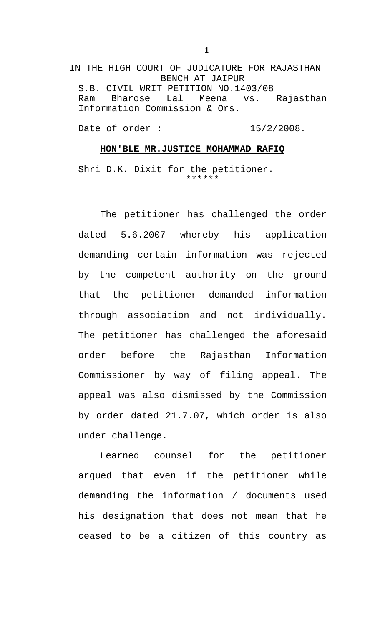IN THE HIGH COURT OF JUDICATURE FOR RAJASTHAN BENCH AT JAIPUR S.B. CIVIL WRIT PETITION NO.1403/08 Ram Bharose Lal Meena vs. Rajasthan Information Commission & Ors.

Date of order : 15/2/2008.

## **HON'BLE MR.JUSTICE MOHAMMAD RAFIQ**

Shri D.K. Dixit for the petitioner. \*\*\*\*\*\*

The petitioner has challenged the order dated 5.6.2007 whereby his application demanding certain information was rejected by the competent authority on the ground that the petitioner demanded information through association and not individually. The petitioner has challenged the aforesaid order before the Rajasthan Information Commissioner by way of filing appeal. The appeal was also dismissed by the Commission by order dated 21.7.07, which order is also under challenge.

Learned counsel for the petitioner argued that even if the petitioner while demanding the information / documents used his designation that does not mean that he ceased to be a citizen of this country as